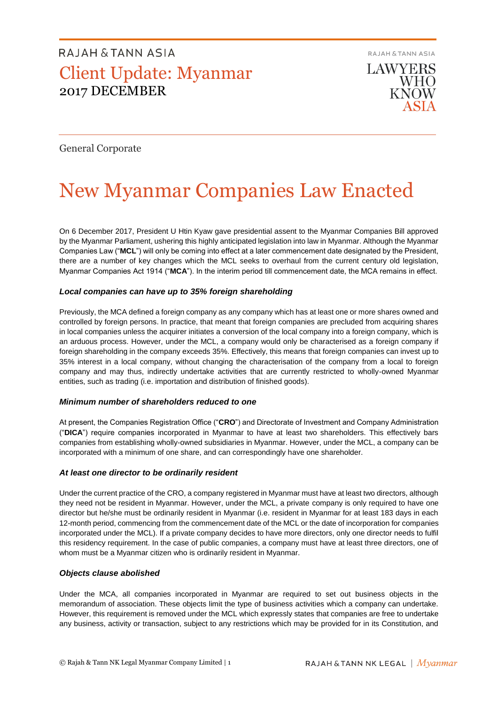RAJAH & TANN ASIA

**LAWYERS WHO KNOW** 

### General Corporate

# New Myanmar Companies Law Enacted

On 6 December 2017, President U Htin Kyaw gave presidential assent to the Myanmar Companies Bill approved by the Myanmar Parliament, ushering this highly anticipated legislation into law in Myanmar. Although the Myanmar Companies Law ("**MCL**") will only be coming into effect at a later commencement date designated by the President, there are a number of key changes which the MCL seeks to overhaul from the current century old legislation, Myanmar Companies Act 1914 ("**MCA**"). In the interim period till commencement date, the MCA remains in effect.

### *Local companies can have up to 35% foreign shareholding*

Previously, the MCA defined a foreign company as any company which has at least one or more shares owned and controlled by foreign persons. In practice, that meant that foreign companies are precluded from acquiring shares in local companies unless the acquirer initiates a conversion of the local company into a foreign company, which is an arduous process. However, under the MCL, a company would only be characterised as a foreign company if foreign shareholding in the company exceeds 35%. Effectively, this means that foreign companies can invest up to 35% interest in a local company, without changing the characterisation of the company from a local to foreign company and may thus, indirectly undertake activities that are currently restricted to wholly-owned Myanmar entities, such as trading (i.e. importation and distribution of finished goods).

### *Minimum number of shareholders reduced to one*

At present, the Companies Registration Office ("**CRO**") and Directorate of Investment and Company Administration ("**DICA**") require companies incorporated in Myanmar to have at least two shareholders. This effectively bars companies from establishing wholly-owned subsidiaries in Myanmar. However, under the MCL, a company can be incorporated with a minimum of one share, and can correspondingly have one shareholder.

### *At least one director to be ordinarily resident*

Under the current practice of the CRO, a company registered in Myanmar must have at least two directors, although they need not be resident in Myanmar. However, under the MCL, a private company is only required to have one director but he/she must be ordinarily resident in Myanmar (i.e. resident in Myanmar for at least 183 days in each 12-month period, commencing from the commencement date of the MCL or the date of incorporation for companies incorporated under the MCL). If a private company decides to have more directors, only one director needs to fulfil this residency requirement. In the case of public companies, a company must have at least three directors, one of whom must be a Myanmar citizen who is ordinarily resident in Myanmar.

### *Objects clause abolished*

Under the MCA, all companies incorporated in Myanmar are required to set out business objects in the memorandum of association. These objects limit the type of business activities which a company can undertake. However, this requirement is removed under the MCL which expressly states that companies are free to undertake any business, activity or transaction, subject to any restrictions which may be provided for in its Constitution, and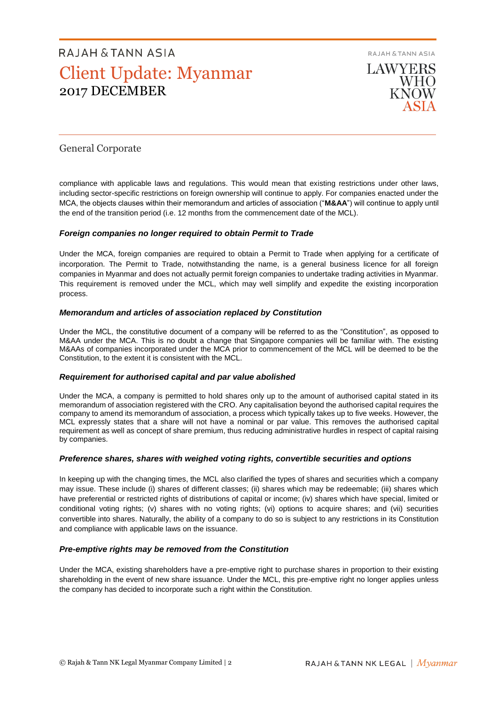RAJAH & TANN ASIA



### General Corporate

compliance with applicable laws and regulations. This would mean that existing restrictions under other laws, including sector-specific restrictions on foreign ownership will continue to apply. For companies enacted under the MCA, the objects clauses within their memorandum and articles of association ("**M&AA**") will continue to apply until the end of the transition period (i.e. 12 months from the commencement date of the MCL).

### *Foreign companies no longer required to obtain Permit to Trade*

Under the MCA, foreign companies are required to obtain a Permit to Trade when applying for a certificate of incorporation. The Permit to Trade, notwithstanding the name, is a general business licence for all foreign companies in Myanmar and does not actually permit foreign companies to undertake trading activities in Myanmar. This requirement is removed under the MCL, which may well simplify and expedite the existing incorporation process.

### *Memorandum and articles of association replaced by Constitution*

Under the MCL, the constitutive document of a company will be referred to as the "Constitution", as opposed to M&AA under the MCA. This is no doubt a change that Singapore companies will be familiar with. The existing M&AAs of companies incorporated under the MCA prior to commencement of the MCL will be deemed to be the Constitution, to the extent it is consistent with the MCL.

### *Requirement for authorised capital and par value abolished*

Under the MCA, a company is permitted to hold shares only up to the amount of authorised capital stated in its memorandum of association registered with the CRO. Any capitalisation beyond the authorised capital requires the company to amend its memorandum of association, a process which typically takes up to five weeks. However, the MCL expressly states that a share will not have a nominal or par value. This removes the authorised capital requirement as well as concept of share premium, thus reducing administrative hurdles in respect of capital raising by companies.

### *Preference shares, shares with weighed voting rights, convertible securities and options*

In keeping up with the changing times, the MCL also clarified the types of shares and securities which a company may issue. These include (i) shares of different classes; (ii) shares which may be redeemable; (iii) shares which have preferential or restricted rights of distributions of capital or income; (iv) shares which have special, limited or conditional voting rights; (v) shares with no voting rights; (vi) options to acquire shares; and (vii) securities convertible into shares. Naturally, the ability of a company to do so is subject to any restrictions in its Constitution and compliance with applicable laws on the issuance.

### *Pre-emptive rights may be removed from the Constitution*

Under the MCA, existing shareholders have a pre-emptive right to purchase shares in proportion to their existing shareholding in the event of new share issuance. Under the MCL, this pre-emptive right no longer applies unless the company has decided to incorporate such a right within the Constitution.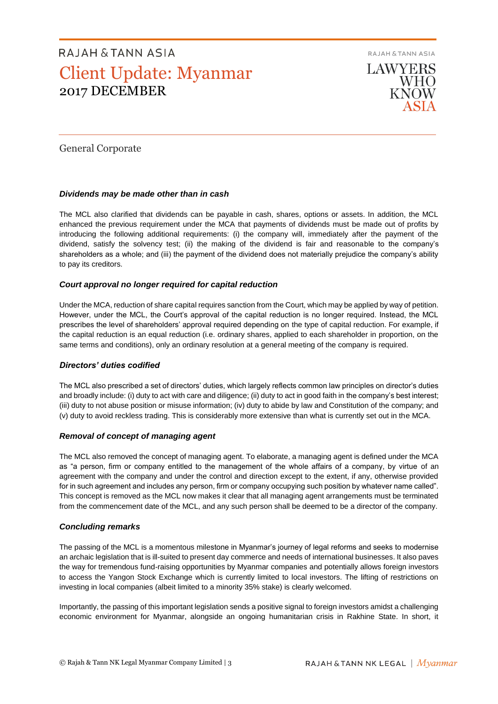**RAJAH & TANN ASIA** 

**LAWYERS WHO KNOW** 

### General Corporate

### *Dividends may be made other than in cash*

The MCL also clarified that dividends can be payable in cash, shares, options or assets. In addition, the MCL enhanced the previous requirement under the MCA that payments of dividends must be made out of profits by introducing the following additional requirements: (i) the company will, immediately after the payment of the dividend, satisfy the solvency test; (ii) the making of the dividend is fair and reasonable to the company's shareholders as a whole; and (iii) the payment of the dividend does not materially prejudice the company's ability to pay its creditors.

### *Court approval no longer required for capital reduction*

Under the MCA, reduction of share capital requires sanction from the Court, which may be applied by way of petition. However, under the MCL, the Court's approval of the capital reduction is no longer required. Instead, the MCL prescribes the level of shareholders' approval required depending on the type of capital reduction. For example, if the capital reduction is an equal reduction (i.e. ordinary shares, applied to each shareholder in proportion, on the same terms and conditions), only an ordinary resolution at a general meeting of the company is required.

### *Directors' duties codified*

The MCL also prescribed a set of directors' duties, which largely reflects common law principles on director's duties and broadly include: (i) duty to act with care and diligence; (ii) duty to act in good faith in the company's best interest; (iii) duty to not abuse position or misuse information; (iv) duty to abide by law and Constitution of the company; and (v) duty to avoid reckless trading. This is considerably more extensive than what is currently set out in the MCA.

### *Removal of concept of managing agent*

The MCL also removed the concept of managing agent. To elaborate, a managing agent is defined under the MCA as "a person, firm or company entitled to the management of the whole affairs of a company, by virtue of an agreement with the company and under the control and direction except to the extent, if any, otherwise provided for in such agreement and includes any person, firm or company occupying such position by whatever name called". This concept is removed as the MCL now makes it clear that all managing agent arrangements must be terminated from the commencement date of the MCL, and any such person shall be deemed to be a director of the company.

### *Concluding remarks*

The passing of the MCL is a momentous milestone in Myanmar's journey of legal reforms and seeks to modernise an archaic legislation that is ill-suited to present day commerce and needs of international businesses. It also paves the way for tremendous fund-raising opportunities by Myanmar companies and potentially allows foreign investors to access the Yangon Stock Exchange which is currently limited to local investors. The lifting of restrictions on investing in local companies (albeit limited to a minority 35% stake) is clearly welcomed.

Importantly, the passing of this important legislation sends a positive signal to foreign investors amidst a challenging economic environment for Myanmar, alongside an ongoing humanitarian crisis in Rakhine State. In short, it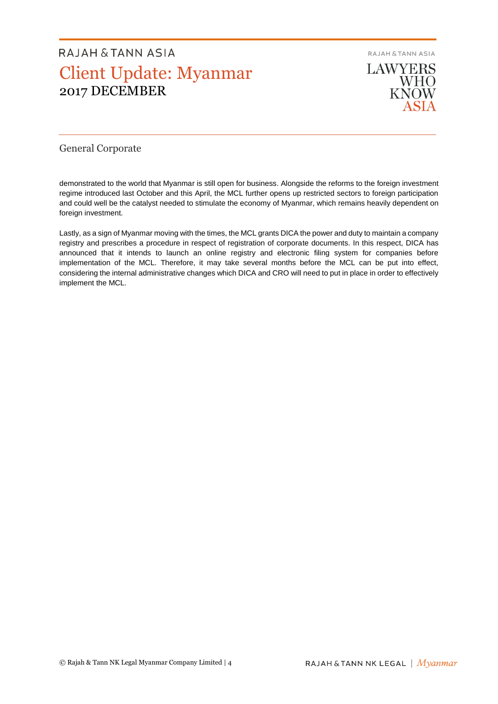**RAJAH & TANN ASIA** 



### General Corporate

demonstrated to the world that Myanmar is still open for business. Alongside the reforms to the foreign investment regime introduced last October and this April, the MCL further opens up restricted sectors to foreign participation and could well be the catalyst needed to stimulate the economy of Myanmar, which remains heavily dependent on foreign investment.

Lastly, as a sign of Myanmar moving with the times, the MCL grants DICA the power and duty to maintain a company registry and prescribes a procedure in respect of registration of corporate documents. In this respect, DICA has announced that it intends to launch an online registry and electronic filing system for companies before implementation of the MCL. Therefore, it may take several months before the MCL can be put into effect, considering the internal administrative changes which DICA and CRO will need to put in place in order to effectively implement the MCL.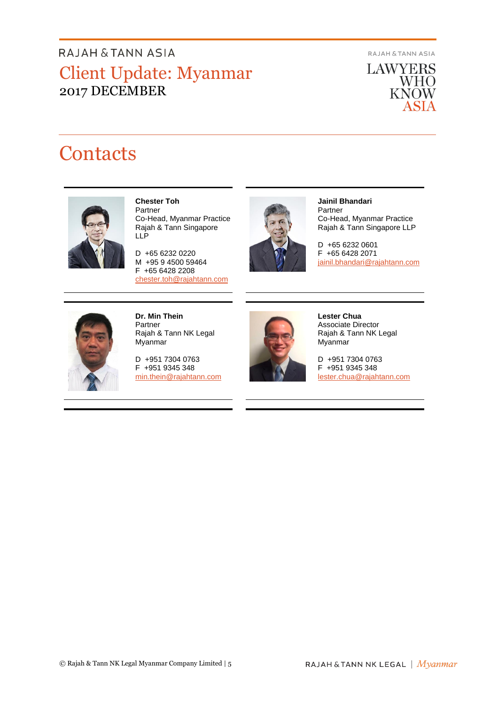**RAJAH & TANN ASIA** 

**LAWYERS WHO**<br>KNOW ASIA

## **Contacts**



### **Chester Toh**

Partner Co-Head, Myanmar Practice Rajah & Tann Singapore LLP

D +65 6232 0220 M +95 9 4500 59464 F +65 6428 2208 [chester.toh@rajahtann.com](mailto:chester.toh@rajahtann.com)



#### **Jainil Bhandari** Partner Co-Head, Myanmar Practice Rajah & Tann Singapore LLP

D +65 6232 0601 F +65 6428 2071 [jainil.bhandari@rajahtann.com](mailto:jainil.bhandari@rajahtann.com)



**Dr. Min Thein** Partner Rajah & Tann NK Legal Myanmar

D +951 7304 0763 F +951 9345 348 [min.thein@rajahtann.com](mailto:min.thein@rajahtann.com)



**Lester Chua** Associate Director Rajah & Tann NK Legal Myanmar

D +951 7304 0763 F +951 9345 348 [lester.chua@rajahtann.com](mailto:lester.chua@rajahtann.com)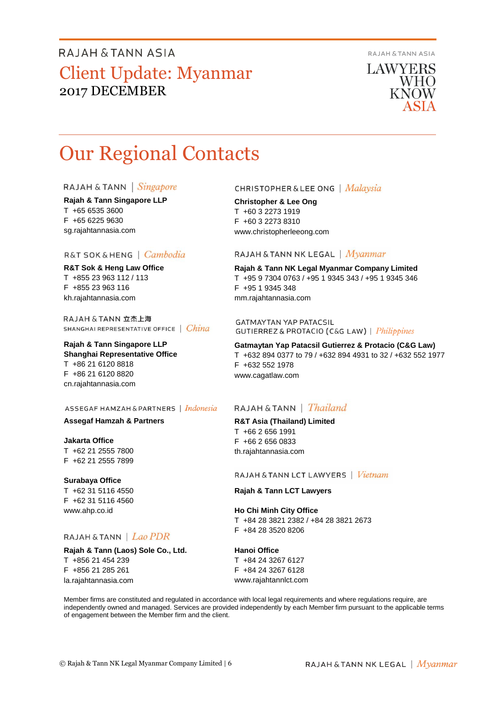**RAJAH & TANN ASIA** 

**LAWYERS WHO** KNOW

## Our Regional Contacts

### RAJAH & TANN | Singapore

**Rajah & Tann Singapore LLP** T +65 6535 3600 F +65 6225 9630 sg.rajahtannasia.com

### R&T SOK & HENG | Cambodia

**R&T Sok & Heng Law Office** T +855 23 963 112 / 113 F +855 23 963 116 kh.rajahtannasia.com

RAJAH & TANN 立杰上海 SHANGHAI REPRESENTATIVE OFFICE | China

### **Rajah & Tann Singapore LLP Shanghai Representative Office** T +86 21 6120 8818 F +86 21 6120 8820 cn.rajahtannasia.com

### ASSEGAF HAMZAH & PARTNERS | Indonesia

### **Assegaf Hamzah & Partners**

**Jakarta Office** T +62 21 2555 7800 F +62 21 2555 7899

### **Surabaya Office**

T +62 31 5116 4550 F +62 31 5116 4560 www.ahp.co.id

### RAJAH & TANN | Lao PDR

**Rajah & Tann (Laos) Sole Co., Ltd.** T +856 21 454 239 F +856 21 285 261 la.rajahtannasia.com

### **CHRISTOPHER & LEE ONG** | Malaysia

**Christopher & Lee Ong** T +60 3 2273 1919 F +60 3 2273 8310 www.christopherleeong.com

### RAJAH & TANN NK LEGAL | *Myanmar*

**Rajah & Tann NK Legal Myanmar Company Limited** T +95 9 7304 0763 / +95 1 9345 343 / +95 1 9345 346 F +95 1 9345 348 mm.rajahtannasia.com

**GATMAYTAN YAP PATACSIL** GUTIERREZ & PROTACIO (C&G LAW) | Philippines

**Gatmaytan Yap Patacsil Gutierrez & Protacio (C&G Law)**  T +632 894 0377 to 79 / +632 894 4931 to 32 / +632 552 1977 F +632 552 1978 www.cagatlaw.com

### RAJAH & TANN | *Thailand*

**R&T Asia (Thailand) Limited** T +66 2 656 1991 F +66 2 656 0833 th.rajahtannasia.com

#### RAJAH & TANN LCT LAWYERS | Vietnam

### **Rajah & Tann LCT Lawyers**

**Ho Chi Minh City Office** T +84 28 3821 2382 / +84 28 3821 2673 F +84 28 3520 8206

#### **Hanoi Office**

T +84 24 3267 6127 F +84 24 3267 6128 www.rajahtannlct.com

Member firms are constituted and regulated in accordance with local legal requirements and where regulations require, are independently owned and managed. Services are provided independently by each Member firm pursuant to the applicable terms of engagement between the Member firm and the client.